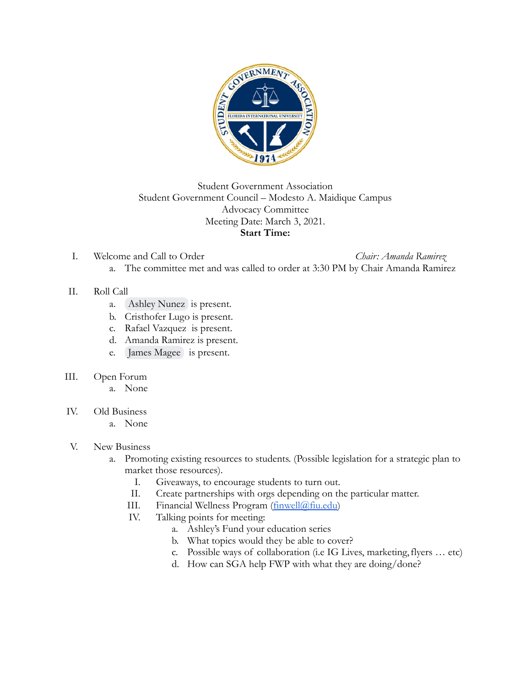

## Student Government Association Student Government Council – Modesto A. Maidique Campus Advocacy Committee Meeting Date: March 3, 2021. **Start Time:**

- I. Welcome and Call to Order *Chair: Amanda Ramirez*
	- a. The committee met and was called to order at 3:30 PM by Chair Amanda Ramirez
- II. Roll Call
	- a. [Ashley Nunez](mailto:anune155@fiu.edu) is present.
	- b. Cristhofer Lugo is present.
	- c. Rafael Vazquez is present.
	- d. Amanda Ramirez is present.
	- e. [James Magee](mailto:jmage007@fiu.edu) is present.
- III. Open Forum
	- a. None
- IV. Old Business
	- a. None
- V. New Business
	- a. Promoting existing resources to students. (Possible legislation for a strategic plan to market those resources).
		- I. Giveaways, to encourage students to turn out.
		- II. Create partnerships with orgs depending on the particular matter.
		- III. Financial Wellness Program [\(finwell@fiu.edu](mailto:finwell@fiu.edu))
		- IV. Talking points for meeting:
			- a. Ashley's Fund your education series
			- b. What topics would they be able to cover?
			- c. Possible ways of collaboration (i.e IG Lives, marketing,flyers … etc)
			- d. How can SGA help FWP with what they are doing/done?